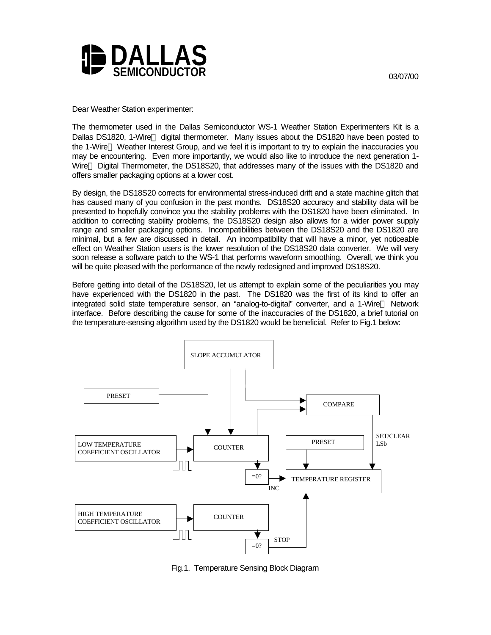

Dear Weather Station experimenter:

The thermometer used in the Dallas Semiconductor WS-1 Weather Station Experimenters Kit is a Dallas DS1820, 1-Wire<sup>™</sup> digital thermometer. Many issues about the DS1820 have been posted to the 1-Wire<sup>™</sup> Weather Interest Group, and we feel it is important to try to explain the inaccuracies you may be encountering. Even more importantly, we would also like to introduce the next generation 1- Wire<sup>™</sup> Digital Thermometer, the DS18S20, that addresses many of the issues with the DS1820 and offers smaller packaging options at a lower cost.

By design, the DS18S20 corrects for environmental stress-induced drift and a state machine glitch that has caused many of you confusion in the past months. DS18S20 accuracy and stability data will be presented to hopefully convince you the stability problems with the DS1820 have been eliminated. In addition to correcting stability problems, the DS18S20 design also allows for a wider power supply range and smaller packaging options. Incompatibilities between the DS18S20 and the DS1820 are minimal, but a few are discussed in detail. An incompatibility that will have a minor, yet noticeable effect on Weather Station users is the lower resolution of the DS18S20 data converter. We will very soon release a software patch to the WS-1 that performs waveform smoothing. Overall, we think you will be quite pleased with the performance of the newly redesigned and improved DS18S20.

Before getting into detail of the DS18S20, let us attempt to explain some of the peculiarities you may have experienced with the DS1820 in the past. The DS1820 was the first of its kind to offer an integrated solid state temperature sensor, an "analog-to-digital" converter, and a 1-Wire™ Network interface. Before describing the cause for some of the inaccuracies of the DS1820, a brief tutorial on the temperature-sensing algorithm used by the DS1820 would be beneficial. Refer to Fig.1 below:



Fig.1. Temperature Sensing Block Diagram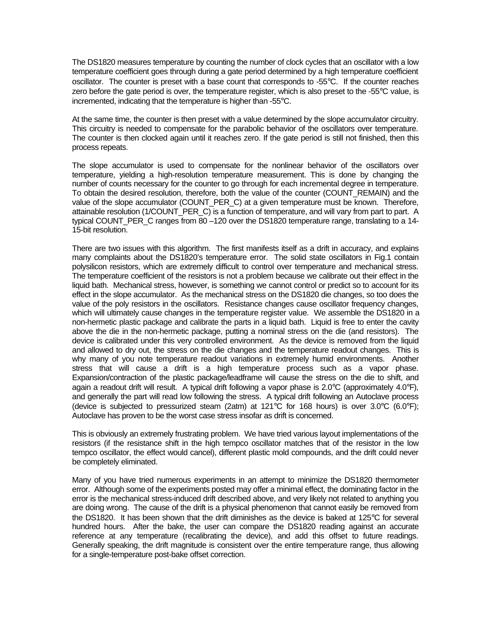The DS1820 measures temperature by counting the number of clock cycles that an oscillator with a low temperature coefficient goes through during a gate period determined by a high temperature coefficient oscillator. The counter is preset with a base count that corresponds to -55°C. If the counter reaches zero before the gate period is over, the temperature register, which is also preset to the -55°C value, is incremented, indicating that the temperature is higher than -55°C.

At the same time, the counter is then preset with a value determined by the slope accumulator circuitry. This circuitry is needed to compensate for the parabolic behavior of the oscillators over temperature. The counter is then clocked again until it reaches zero. If the gate period is still not finished, then this process repeats.

The slope accumulator is used to compensate for the nonlinear behavior of the oscillators over temperature, yielding a high-resolution temperature measurement. This is done by changing the number of counts necessary for the counter to go through for each incremental degree in temperature. To obtain the desired resolution, therefore, both the value of the counter (COUNT\_REMAIN) and the value of the slope accumulator (COUNT\_PER\_C) at a given temperature must be known. Therefore, attainable resolution (1/COUNT\_PER\_C) is a function of temperature, and will vary from part to part. A typical COUNT\_PER\_C ranges from 80 –120 over the DS1820 temperature range, translating to a 14-15-bit resolution.

There are two issues with this algorithm. The first manifests itself as a drift in accuracy, and explains many complaints about the DS1820's temperature error. The solid state oscillators in Fig.1 contain polysilicon resistors, which are extremely difficult to control over temperature and mechanical stress. The temperature coefficient of the resistors is not a problem because we calibrate out their effect in the liquid bath. Mechanical stress, however, is something we cannot control or predict so to account for its effect in the slope accumulator. As the mechanical stress on the DS1820 die changes, so too does the value of the poly resistors in the oscillators. Resistance changes cause oscillator frequency changes, which will ultimately cause changes in the temperature register value. We assemble the DS1820 in a non-hermetic plastic package and calibrate the parts in a liquid bath. Liquid is free to enter the cavity above the die in the non-hermetic package, putting a nominal stress on the die (and resistors). The device is calibrated under this very controlled environment. As the device is removed from the liquid and allowed to dry out, the stress on the die changes and the temperature readout changes. This is why many of you note temperature readout variations in extremely humid environments. Another stress that will cause a drift is a high temperature process such as a vapor phase. Expansion/contraction of the plastic package/leadframe will cause the stress on the die to shift, and again a readout drift will result. A typical drift following a vapor phase is 2.0°C (approximately 4.0°F), and generally the part will read low following the stress. A typical drift following an Autoclave process (device is subjected to pressurized steam (2atm) at 121°C for 168 hours) is over 3.0°C (6.0°F); Autoclave has proven to be the worst case stress insofar as drift is concerned.

This is obviously an extremely frustrating problem. We have tried various layout implementations of the resistors (if the resistance shift in the high tempco oscillator matches that of the resistor in the low tempco oscillator, the effect would cancel), different plastic mold compounds, and the drift could never be completely eliminated.

Many of you have tried numerous experiments in an attempt to minimize the DS1820 thermometer error. Although some of the experiments posted may offer a minimal effect, the dominating factor in the error is the mechanical stress-induced drift described above, and very likely not related to anything you are doing wrong. The cause of the drift is a physical phenomenon that cannot easily be removed from the DS1820. It has been shown that the drift diminishes as the device is baked at 125°C for several hundred hours. After the bake, the user can compare the DS1820 reading against an accurate reference at any temperature (recalibrating the device), and add this offset to future readings. Generally speaking, the drift magnitude is consistent over the entire temperature range, thus allowing for a single-temperature post-bake offset correction.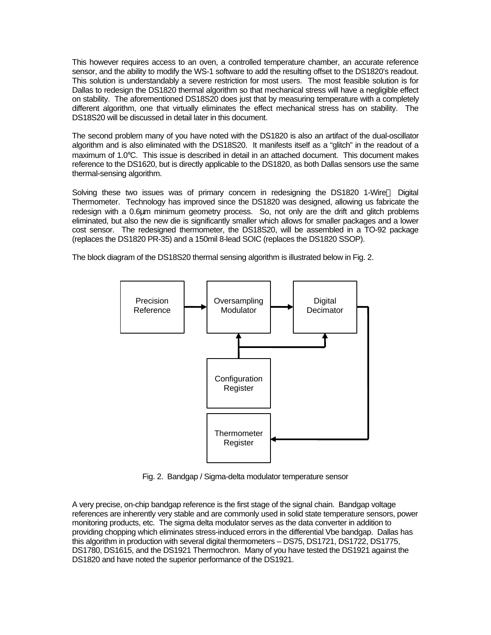This however requires access to an oven, a controlled temperature chamber, an accurate reference sensor, and the ability to modify the WS-1 software to add the resulting offset to the DS1820's readout. This solution is understandably a severe restriction for most users. The most feasible solution is for Dallas to redesign the DS1820 thermal algorithm so that mechanical stress will have a negligible effect on stability. The aforementioned DS18S20 does just that by measuring temperature with a completely different algorithm, one that virtually eliminates the effect mechanical stress has on stability. The DS18S20 will be discussed in detail later in this document.

The second problem many of you have noted with the DS1820 is also an artifact of the dual-oscillator algorithm and is also eliminated with the DS18S20. It manifests itself as a "glitch" in the readout of a maximum of 1.0°C. This issue is described in detail in an attached document. This document makes reference to the DS1620, but is directly applicable to the DS1820, as both Dallas sensors use the same thermal-sensing algorithm.

Solving these two issues was of primary concern in redesigning the DS1820 1-Wire<sup>™</sup> Digital Thermometer. Technology has improved since the DS1820 was designed, allowing us fabricate the redesign with a 0.6μm minimum geometry process. So, not only are the drift and glitch problems eliminated, but also the new die is significantly smaller which allows for smaller packages and a lower cost sensor. The redesigned thermometer, the DS18S20, will be assembled in a TO-92 package (replaces the DS1820 PR-35) and a 150mil 8-lead SOIC (replaces the DS1820 SSOP).

The block diagram of the DS18S20 thermal sensing algorithm is illustrated below in Fig. 2.



Fig. 2. Bandgap / Sigma-delta modulator temperature sensor

A very precise, on-chip bandgap reference is the first stage of the signal chain. Bandgap voltage references are inherently very stable and are commonly used in solid state temperature sensors, power monitoring products, etc. The sigma delta modulator serves as the data converter in addition to providing chopping which eliminates stress-induced errors in the differential Vbe bandgap. Dallas has this algorithm in production with several digital thermometers – DS75, DS1721, DS1722, DS1775, DS1780, DS1615, and the DS1921 Thermochron. Many of you have tested the DS1921 against the DS1820 and have noted the superior performance of the DS1921.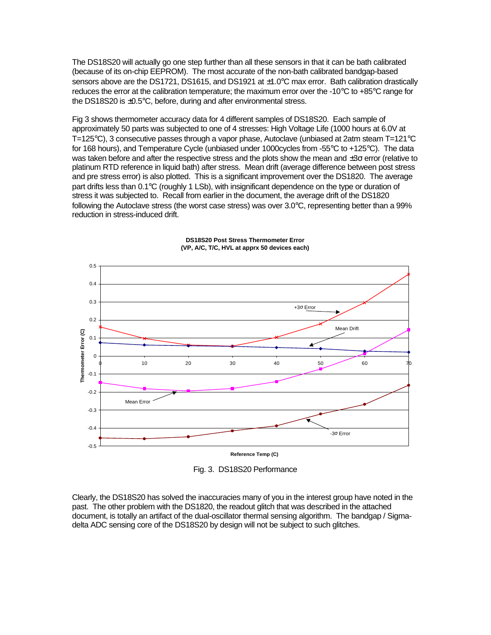The DS18S20 will actually go one step further than all these sensors in that it can be bath calibrated (because of its on-chip EEPROM). The most accurate of the non-bath calibrated bandgap-based sensors above are the DS1721, DS1615, and DS1921 at  $\pm$ 1.0 $\degree$ C max error. Bath calibration drastically reduces the error at the calibration temperature; the maximum error over the -10°C to +85°C range for the DS18S20 is  $\pm 0.5^{\circ}$ C, before, during and after environmental stress.

Fig 3 shows thermometer accuracy data for 4 different samples of DS18S20. Each sample of approximately 50 parts was subjected to one of 4 stresses: High Voltage Life (1000 hours at 6.0V at T=125°C), 3 consecutive passes through a vapor phase, Autoclave (unbiased at 2atm steam T=121°C for 168 hours), and Temperature Cycle (unbiased under 1000cycles from -55°C to +125°C). The data was taken before and after the respective stress and the plots show the mean and  $\pm 3\sigma$  error (relative to platinum RTD reference in liquid bath) after stress. Mean drift (average difference between post stress and pre stress error) is also plotted. This is a significant improvement over the DS1820. The average part drifts less than 0.1°C (roughly 1 LSb), with insignificant dependence on the type or duration of stress it was subjected to. Recall from earlier in the document, the average drift of the DS1820 following the Autoclave stress (the worst case stress) was over 3.0°C, representing better than a 99% reduction in stress-induced drift.



## **DS18S20 Post Stress Thermometer Error (VP, A/C, T/C, HVL at apprx 50 devices each)**

Fig. 3. DS18S20 Performance

Clearly, the DS18S20 has solved the inaccuracies many of you in the interest group have noted in the past. The other problem with the DS1820, the readout glitch that was described in the attached document, is totally an artifact of the dual-oscillator thermal sensing algorithm. The bandgap / Sigmadelta ADC sensing core of the DS18S20 by design will not be subject to such glitches.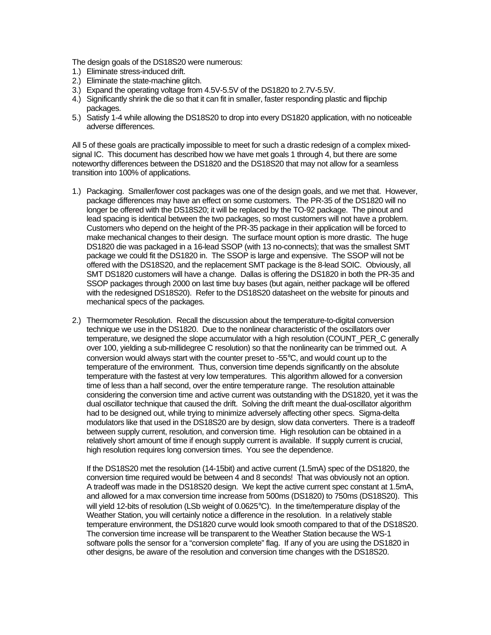The design goals of the DS18S20 were numerous:

- 1.) Eliminate stress-induced drift.
- 2.) Eliminate the state-machine glitch.
- 3.) Expand the operating voltage from 4.5V-5.5V of the DS1820 to 2.7V-5.5V.
- 4.) Significantly shrink the die so that it can fit in smaller, faster responding plastic and flipchip packages.
- 5.) Satisfy 1-4 while allowing the DS18S20 to drop into every DS1820 application, with no noticeable adverse differences.

All 5 of these goals are practically impossible to meet for such a drastic redesign of a complex mixedsignal IC. This document has described how we have met goals 1 through 4, but there are some noteworthy differences between the DS1820 and the DS18S20 that may not allow for a seamless transition into 100% of applications.

- 1.) Packaging. Smaller/lower cost packages was one of the design goals, and we met that. However, package differences may have an effect on some customers. The PR-35 of the DS1820 will no longer be offered with the DS18S20; it will be replaced by the TO-92 package. The pinout and lead spacing is identical between the two packages, so most customers will not have a problem. Customers who depend on the height of the PR-35 package in their application will be forced to make mechanical changes to their design. The surface mount option is more drastic. The huge DS1820 die was packaged in a 16-lead SSOP (with 13 no-connects); that was the smallest SMT package we could fit the DS1820 in. The SSOP is large and expensive. The SSOP will not be offered with the DS18S20, and the replacement SMT package is the 8-lead SOIC. Obviously, all SMT DS1820 customers will have a change. Dallas is offering the DS1820 in both the PR-35 and SSOP packages through 2000 on last time buy bases (but again, neither package will be offered with the redesigned DS18S20). Refer to the DS18S20 datasheet on the website for pinouts and mechanical specs of the packages.
- 2.) Thermometer Resolution. Recall the discussion about the temperature-to-digital conversion technique we use in the DS1820. Due to the nonlinear characteristic of the oscillators over temperature, we designed the slope accumulator with a high resolution (COUNT\_PER\_C generally over 100, yielding a sub-millidegree C resolution) so that the nonlinearity can be trimmed out. A conversion would always start with the counter preset to -55°C, and would count up to the temperature of the environment. Thus, conversion time depends significantly on the absolute temperature with the fastest at very low temperatures. This algorithm allowed for a conversion time of less than a half second, over the entire temperature range. The resolution attainable considering the conversion time and active current was outstanding with the DS1820, yet it was the dual oscillator technique that caused the drift. Solving the drift meant the dual-oscillator algorithm had to be designed out, while trying to minimize adversely affecting other specs. Sigma-delta modulators like that used in the DS18S20 are by design, slow data converters. There is a tradeoff between supply current, resolution, and conversion time. High resolution can be obtained in a relatively short amount of time if enough supply current is available. If supply current is crucial, high resolution requires long conversion times. You see the dependence.

If the DS18S20 met the resolution (14-15bit) and active current (1.5mA) spec of the DS1820, the conversion time required would be between 4 and 8 seconds! That was obviously not an option. A tradeoff was made in the DS18S20 design. We kept the active current spec constant at 1.5mA, and allowed for a max conversion time increase from 500ms (DS1820) to 750ms (DS18S20). This will yield 12-bits of resolution (LSb weight of 0.0625°C). In the time/temperature display of the Weather Station, you will certainly notice a difference in the resolution. In a relatively stable temperature environment, the DS1820 curve would look smooth compared to that of the DS18S20. The conversion time increase will be transparent to the Weather Station because the WS-1 software polls the sensor for a "conversion complete" flag. If any of you are using the DS1820 in other designs, be aware of the resolution and conversion time changes with the DS18S20.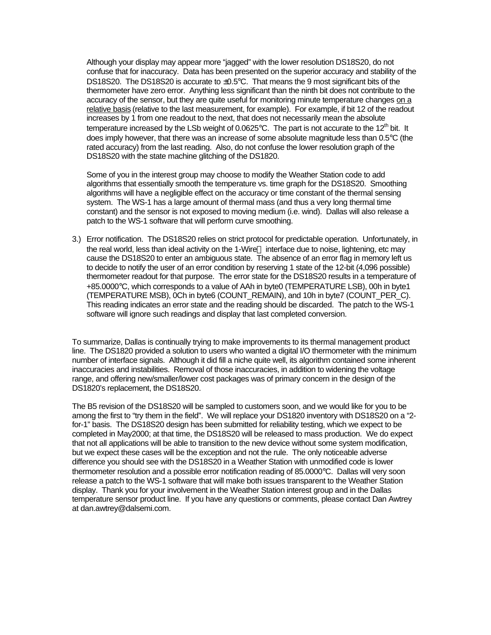Although your display may appear more "jagged" with the lower resolution DS18S20, do not confuse that for inaccuracy. Data has been presented on the superior accuracy and stability of the DS18S20. The DS18S20 is accurate to  $\pm 0.5$ °C. That means the 9 most significant bits of the thermometer have zero error. Anything less significant than the ninth bit does not contribute to the accuracy of the sensor, but they are quite useful for monitoring minute temperature changes on a relative basis (relative to the last measurement, for example). For example, if bit 12 of the readout increases by 1 from one readout to the next, that does not necessarily mean the absolute temperature increased by the LSb weight of 0.0625°C. The part is not accurate to the 12<sup>th</sup> bit. It does imply however, that there was an increase of some absolute magnitude less than 0.5°C (the rated accuracy) from the last reading. Also, do not confuse the lower resolution graph of the DS18S20 with the state machine glitching of the DS1820.

Some of you in the interest group may choose to modify the Weather Station code to add algorithms that essentially smooth the temperature vs. time graph for the DS18S20. Smoothing algorithms will have a negligible effect on the accuracy or time constant of the thermal sensing system. The WS-1 has a large amount of thermal mass (and thus a very long thermal time constant) and the sensor is not exposed to moving medium (i.e. wind). Dallas will also release a patch to the WS-1 software that will perform curve smoothing.

3.) Error notification. The DS18S20 relies on strict protocol for predictable operation. Unfortunately, in the real world, less than ideal activity on the 1-Wire™ interface due to noise, lightening, etc may cause the DS18S20 to enter an ambiguous state. The absence of an error flag in memory left us to decide to notify the user of an error condition by reserving 1 state of the 12-bit (4,096 possible) thermometer readout for that purpose. The error state for the DS18S20 results in a temperature of +85.0000°C, which corresponds to a value of AAh in byte0 (TEMPERATURE LSB), 00h in byte1 (TEMPERATURE MSB), 0Ch in byte6 (COUNT\_REMAIN), and 10h in byte7 (COUNT\_PER\_C). This reading indicates an error state and the reading should be discarded. The patch to the WS-1 software will ignore such readings and display that last completed conversion.

To summarize, Dallas is continually trying to make improvements to its thermal management product line. The DS1820 provided a solution to users who wanted a digital I/O thermometer with the minimum number of interface signals. Although it did fill a niche quite well, its algorithm contained some inherent inaccuracies and instabilities. Removal of those inaccuracies, in addition to widening the voltage range, and offering new/smaller/lower cost packages was of primary concern in the design of the DS1820's replacement, the DS18S20.

The B5 revision of the DS18S20 will be sampled to customers soon, and we would like for you to be among the first to "try them in the field". We will replace your DS1820 inventory with DS18S20 on a "2 for-1" basis. The DS18S20 design has been submitted for reliability testing, which we expect to be completed in May2000; at that time, the DS18S20 will be released to mass production. We do expect that not all applications will be able to transition to the new device without some system modification, but we expect these cases will be the exception and not the rule. The only noticeable adverse difference you should see with the DS18S20 in a Weather Station with unmodified code is lower thermometer resolution and a possible error notification reading of 85.0000°C. Dallas will very soon release a patch to the WS-1 software that will make both issues transparent to the Weather Station display. Thank you for your involvement in the Weather Station interest group and in the Dallas temperature sensor product line. If you have any questions or comments, please contact Dan Awtrey at dan.awtrey@dalsemi.com.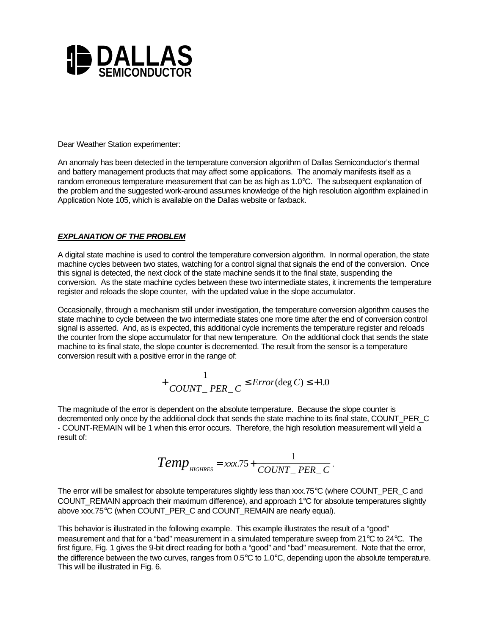

Dear Weather Station experimenter:

An anomaly has been detected in the temperature conversion algorithm of Dallas Semiconductor's thermal and battery management products that may affect some applications. The anomaly manifests itself as a random erroneous temperature measurement that can be as high as 1.0°C. The subsequent explanation of the problem and the suggested work-around assumes knowledge of the high resolution algorithm explained in Application Note 105, which is available on the Dallas website or faxback.

## *EXPLANATION OF THE PROBLEM*

A digital state machine is used to control the temperature conversion algorithm. In normal operation, the state machine cycles between two states, watching for a control signal that signals the end of the conversion. Once this signal is detected, the next clock of the state machine sends it to the final state, suspending the conversion. As the state machine cycles between these two intermediate states, it increments the temperature register and reloads the slope counter, with the updated value in the slope accumulator.

Occasionally, through a mechanism still under investigation, the temperature conversion algorithm causes the state machine to cycle between the two intermediate states one more time after the end of conversion control signal is asserted. And, as is expected, this additional cycle increments the temperature register and reloads the counter from the slope accumulator for that new temperature. On the additional clock that sends the state machine to its final state, the slope counter is decremented. The result from the sensor is a temperature conversion result with a positive error in the range of:

$$
+\frac{1}{COUNT\_PER\_C} \le Error(\text{deg } C) \le +1.0
$$

The magnitude of the error is dependent on the absolute temperature. Because the slope counter is decremented only once by the additional clock that sends the state machine to its final state, COUNT\_PER\_C\_ - COUNT-REMAIN will be 1 when this error occurs. Therefore, the high resolution measurement will yield a result of:

$$
Temp_{\text{HIGHRES}} = xxx.75 + \frac{1}{COUNT\_PER\_C}.
$$

The error will be smallest for absolute temperatures slightly less than xxx.75°C (where COUNT\_PER\_C and COUNT\_REMAIN approach their maximum difference), and approach 1°C for absolute temperatures slightly above xxx.75°C (when COUNT\_PER\_C and COUNT\_REMAIN are nearly equal).

This behavior is illustrated in the following example. This example illustrates the result of a "good" measurement and that for a "bad" measurement in a simulated temperature sweep from 21°C to 24°C. The first figure, Fig. 1 gives the 9-bit direct reading for both a "good" and "bad" measurement. Note that the error, the difference between the two curves, ranges from 0.5°C to 1.0°C, depending upon the absolute temperature. This will be illustrated in Fig. 6.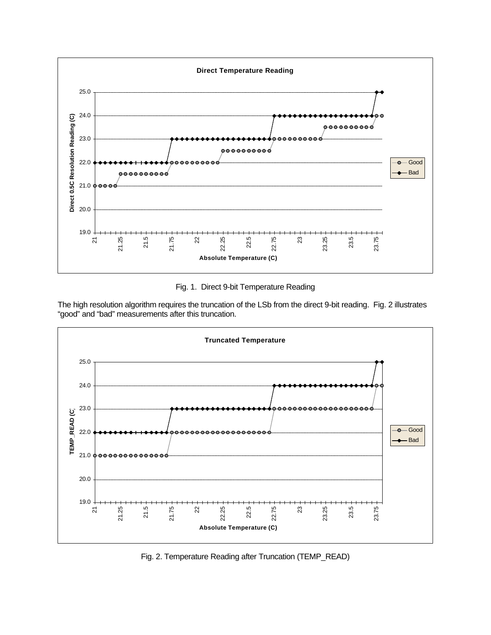

Fig. 1. Direct 9-bit Temperature Reading

The high resolution algorithm requires the truncation of the LSb from the direct 9-bit reading. Fig. 2 illustrates "good" and "bad" measurements after this truncation.



Fig. 2. Temperature Reading after Truncation (TEMP\_READ)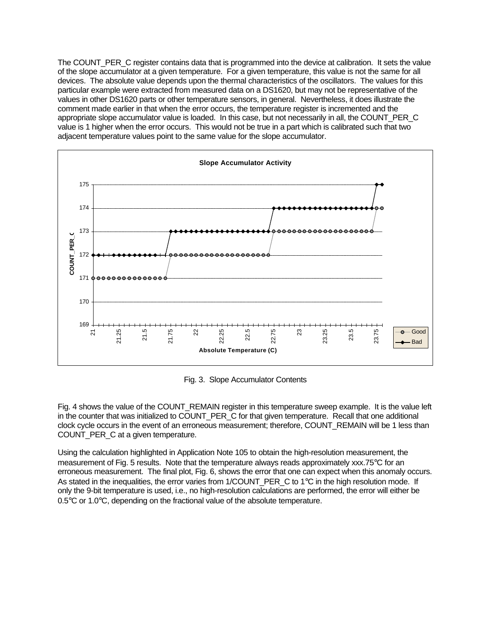The COUNT\_PER\_C register contains data that is programmed into the device at calibration. It sets the value of the slope accumulator at a given temperature. For a given temperature, this value is not the same for all devices. The absolute value depends upon the thermal characteristics of the oscillators. The values for this particular example were extracted from measured data on a DS1620, but may not be representative of the values in other DS1620 parts or other temperature sensors, in general. Nevertheless, it does illustrate the comment made earlier in that when the error occurs, the temperature register is incremented and the appropriate slope accumulator value is loaded. In this case, but not necessarily in all, the COUNT\_PER\_C value is 1 higher when the error occurs. This would not be true in a part which is calibrated such that two adjacent temperature values point to the same value for the slope accumulator.



Fig. 3. Slope Accumulator Contents

Fig. 4 shows the value of the COUNT\_REMAIN register in this temperature sweep example. It is the value left in the counter that was initialized to COUNT\_PER\_C for that given temperature. Recall that one additional clock cycle occurs in the event of an erroneous measurement; therefore, COUNT\_REMAIN will be 1 less than COUNT\_PER\_C at a given temperature.

Using the calculation highlighted in Application Note 105 to obtain the high-resolution measurement, the measurement of Fig. 5 results. Note that the temperature always reads approximately xxx.75°C for an erroneous measurement. The final plot, Fig. 6, shows the error that one can expect when this anomaly occurs. As stated in the inequalities, the error varies from  $1/COUNT$  PER C to  $1°C$  in the high resolution mode. If only the 9-bit temperature is used, i.e., no high-resolution calculations are performed, the error will either be 0.5°C or 1.0°C, depending on the fractional value of the absolute temperature.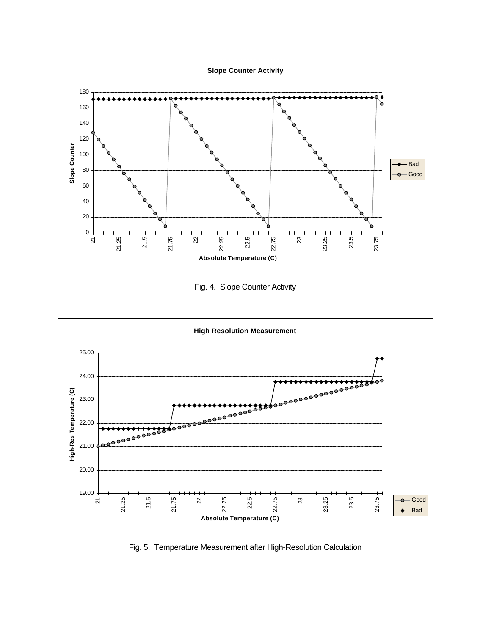

Fig. 4. Slope Counter Activity



Fig. 5. Temperature Measurement after High-Resolution Calculation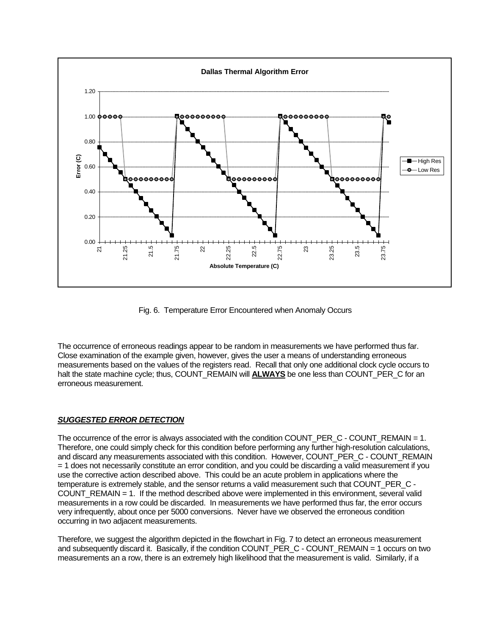

Fig. 6. Temperature Error Encountered when Anomaly Occurs

The occurrence of erroneous readings appear to be random in measurements we have performed thus far. Close examination of the example given, however, gives the user a means of understanding erroneous measurements based on the values of the registers read. Recall that only one additional clock cycle occurs to halt the state machine cycle; thus, COUNT\_REMAIN will **ALWAYS** be one less than COUNT\_PER\_C for an erroneous measurement.

## *SUGGESTED ERROR DETECTION*

The occurrence of the error is always associated with the condition COUNT\_PER\_C - COUNT\_REMAIN = 1. Therefore, one could simply check for this condition before performing any further high-resolution calculations, and discard any measurements associated with this condition. However, COUNT\_PER\_C - COUNT\_REMAIN = 1 does not necessarily constitute an error condition, and you could be discarding a valid measurement if you use the corrective action described above. This could be an acute problem in applications where the temperature is extremely stable, and the sensor returns a valid measurement such that COUNT\_PER\_C -COUNT\_REMAIN = 1. If the method described above were implemented in this environment, several valid measurements in a row could be discarded. In measurements we have performed thus far, the error occurs very infrequently, about once per 5000 conversions. Never have we observed the erroneous condition occurring in two adjacent measurements.

Therefore, we suggest the algorithm depicted in the flowchart in Fig. 7 to detect an erroneous measurement and subsequently discard it. Basically, if the condition COUNT\_PER\_C - COUNT\_REMAIN = 1 occurs on two measurements an a row, there is an extremely high likelihood that the measurement is valid. Similarly, if a